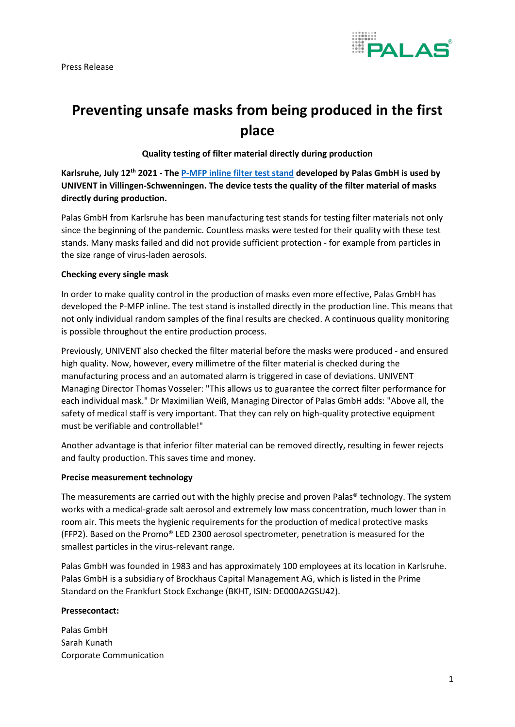Press Release



## **Preventing unsafe masks from being produced in the first place**

**Quality testing of filter material directly during production**

**Karlsruhe, July 12th 2021 - Th[e P-MFP inline filter test stand](https://www.palas.de/en/product/P-MFPinline2300) developed by Palas GmbH is used by UNIVENT in Villingen-Schwenningen. The device tests the quality of the filter material of masks directly during production.** 

Palas GmbH from Karlsruhe has been manufacturing test stands for testing filter materials not only since the beginning of the pandemic. Countless masks were tested for their quality with these test stands. Many masks failed and did not provide sufficient protection - for example from particles in the size range of virus-laden aerosols.

## **Checking every single mask**

In order to make quality control in the production of masks even more effective, Palas GmbH has developed the P-MFP inline. The test stand is installed directly in the production line. This means that not only individual random samples of the final results are checked. A continuous quality monitoring is possible throughout the entire production process.

Previously, UNIVENT also checked the filter material before the masks were produced - and ensured high quality. Now, however, every millimetre of the filter material is checked during the manufacturing process and an automated alarm is triggered in case of deviations. UNIVENT Managing Director Thomas Vosseler: "This allows us to guarantee the correct filter performance for each individual mask." Dr Maximilian Weiß, Managing Director of Palas GmbH adds: "Above all, the safety of medical staff is very important. That they can rely on high-quality protective equipment must be verifiable and controllable!"

Another advantage is that inferior filter material can be removed directly, resulting in fewer rejects and faulty production. This saves time and money.

## **Precise measurement technology**

The measurements are carried out with the highly precise and proven Palas® technology. The system works with a medical-grade salt aerosol and extremely low mass concentration, much lower than in room air. This meets the hygienic requirements for the production of medical protective masks (FFP2). Based on the Promo® LED 2300 aerosol spectrometer, penetration is measured for the smallest particles in the virus-relevant range.

Palas GmbH was founded in 1983 and has approximately 100 employees at its location in Karlsruhe. Palas GmbH is a subsidiary of Brockhaus Capital Management AG, which is listed in the Prime Standard on the Frankfurt Stock Exchange (BKHT, ISIN: DE000A2GSU42).

## **Pressecontact:**

Palas GmbH Sarah Kunath Corporate Communication